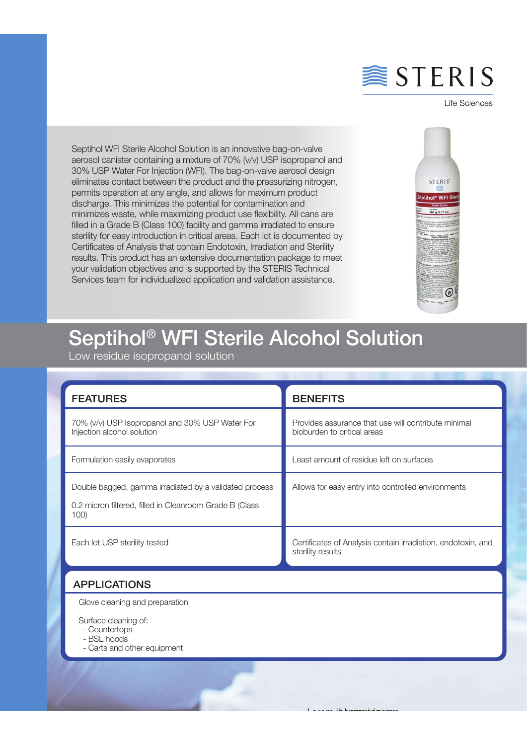

Life Sciences

Septihol WFI Sterile Alcohol Solution is an innovative bag-on-valve aerosol canister containing a mixture of 70% (v/v) USP isopropanol and 30% USP Water For Injection (WFI). The bag-on-valve aerosol design eliminates contact between the product and the pressurizing nitrogen, permits operation at any angle, and allows for maximum product discharge. This minimizes the potential for contamination and minimizes waste, while maximizing product use flexibility. All cans are filled in a Grade B (Class 100) facility and gamma irradiated to ensure sterility for easy introduction in critical areas. Each lot is documented by Certificates of Analysis that contain Endotoxin, Irradiation and Sterility results. This product has an extensive documentation package to meet your validation objectives and is supported by the STERIS Technical Services team for individualized application and validation assistance.



## Septihol® WFI Sterile Alcohol Solution

Low residue isopropanol solution

| <b>FEATURES</b>                                                                                                           | <b>BENEFITS</b>                                                                    |
|---------------------------------------------------------------------------------------------------------------------------|------------------------------------------------------------------------------------|
| 70% (v/v) USP Isopropanol and 30% USP Water For<br>Injection alcohol solution                                             | Provides assurance that use will contribute minimal<br>bioburden to critical areas |
| Formulation easily evaporates                                                                                             | Least amount of residue left on surfaces                                           |
| Double bagged, gamma irradiated by a validated process<br>0.2 micron filtered, filled in Cleanroom Grade B (Class<br>100) | Allows for easy entry into controlled environments                                 |
| Each lot USP sterility tested                                                                                             | Certificates of Analysis contain irradiation, endotoxin, and<br>sterility results  |

Lorem ipsum Lorem ipsum Lorem ipsum

## APPLICATIONS

Glove cleaning and preparation

Surface cleaning of:

- Countertops

- BSL hoods

j

- Carts and other equipment